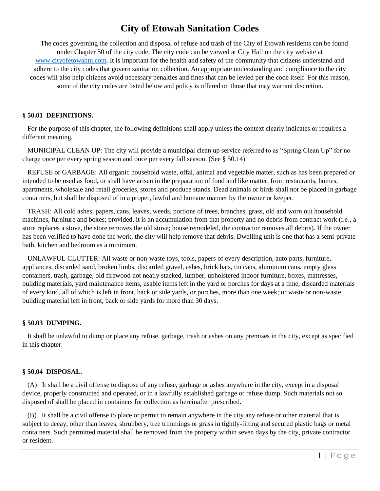# **City of Etowah Sanitation Codes**

The codes governing the collection and disposal of refuse and trash of the City of Etowah residents can be found under Chapter 50 of the city code. The city code can be viewed at City Hall on the city website at [www.cityofetowahtn.com.](http://www.cityofetowahtn.com/) It is important for the health and safety of the community that citizens understand and adhere to the city codes that govern sanitation collection. An appropriate understanding and compliance to the city codes will also help citizens avoid necessary penalties and fines that can be levied per the code itself. For this reason, some of the city codes are listed below and policy is offered on those that may warrant discretion.

# **§ 50.01 DEFINITIONS.**

 For the purpose of this chapter, the following definitions shall apply unless the context clearly indicates or requires a different meaning.

 MUNICIPAL CLEAN UP: The city will provide a municipal clean up service referred to as "Spring Clean Up" for no charge once per every spring season and once per every fall season. (See § 50.14)

 REFUSE or GARBAGE: All organic household waste, offal, animal and vegetable matter, such as has been prepared or intended to be used as food, or shall have arisen in the preparation of food and like matter, from restaurants, homes, apartments, wholesale and retail groceries, stores and produce stands. Dead animals or birds shall not be placed in garbage containers, but shall be disposed of in a proper, lawful and humane manner by the owner or keeper.

 TRASH: All cold ashes, papers, cans, leaves, weeds, portions of trees, branches, grass, old and worn out household machines, furniture and boxes; provided, it is an accumulation from that property and no debris from contract work (i.e., a store replaces a stove, the store removes the old stove; house remodeled, the contractor removes all debris). If the owner has been verified to have done the work, the city will help remove that debris. Dwelling unit is one that has a semi-private bath, kitchen and bedroom as a minimum.

 UNLAWFUL CLUTTER: All waste or non-waste toys, tools, papers of every description, auto parts, furniture, appliances, discarded sand, broken limbs, discarded gravel, ashes, brick bats, tin cans, aluminum cans, empty glass containers, trash, garbage, old firewood not neatly stacked, lumber, upholstered indoor furniture, boxes, mattresses, building materials, yard maintenance items, usable items left in the yard or porches for days at a time, discarded materials of every kind, all of which is left in front, back or side yards, or porches, more than one week; or waste or non-waste building material left in front, back or side yards for more than 30 days.

# **§ 50.03 DUMPING.**

 It shall be unlawful to dump or place any refuse, garbage, trash or ashes on any premises in the city, except as specified in this chapter.

#### **§ 50.04 DISPOSAL.**

 (A) It shall be a civil offense to dispose of any refuse, garbage or ashes anywhere in the city, except in a disposal device, properly constructed and operated, or in a lawfully established garbage or refuse dump. Such materials not so disposed of shall be placed in containers for collection as hereinafter prescribed.

 (B) It shall be a civil offense to place or permit to remain anywhere in the city any refuse or other material that is subject to decay, other than leaves, shrubbery, tree trimmings or grass in tightly-fitting and secured plastic bags or metal containers. Such permitted material shall be removed from the property within seven days by the city, private contractor or resident.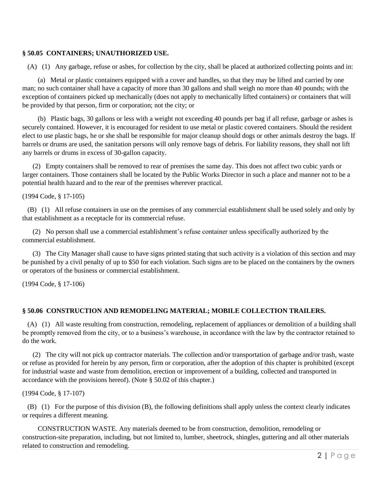# **§ 50.05 CONTAINERS; UNAUTHORIZED USE.**

(A) (1) Any garbage, refuse or ashes, for collection by the city, shall be placed at authorized collecting points and in:

 (a) Metal or plastic containers equipped with a cover and handles, so that they may be lifted and carried by one man; no such container shall have a capacity of more than 30 gallons and shall weigh no more than 40 pounds; with the exception of containers picked up mechanically (does not apply to mechanically lifted containers) or containers that will be provided by that person, firm or corporation; not the city; or

 (b) Plastic bags, 30 gallons or less with a weight not exceeding 40 pounds per bag if all refuse, garbage or ashes is securely contained. However, it is encouraged for resident to use metal or plastic covered containers. Should the resident elect to use plastic bags, he or she shall be responsible for major cleanup should dogs or other animals destroy the bags. If barrels or drums are used, the sanitation persons will only remove bags of debris. For liability reasons, they shall not lift any barrels or drums in excess of 30-gallon capacity.

 (2) Empty containers shall be removed to rear of premises the same day. This does not affect two cubic yards or larger containers. Those containers shall be located by the Public Works Director in such a place and manner not to be a potential health hazard and to the rear of the premises wherever practical.

(1994 Code, § 17-105)

 (B) (1) All refuse containers in use on the premises of any commercial establishment shall be used solely and only by that establishment as a receptacle for its commercial refuse.

 (2) No person shall use a commercial establishment's refuse container unless specifically authorized by the commercial establishment.

 (3) The City Manager shall cause to have signs printed stating that such activity is a violation of this section and may be punished by a civil penalty of up to \$50 for each violation. Such signs are to be placed on the containers by the owners or operators of the business or commercial establishment.

(1994 Code, § 17-106)

# **§ 50.06 CONSTRUCTION AND REMODELING MATERIAL; MOBILE COLLECTION TRAILERS.**

 (A) (1) All waste resulting from construction, remodeling, replacement of appliances or demolition of a building shall be promptly removed from the city, or to a business's warehouse, in accordance with the law by the contractor retained to do the work.

 (2) The city will not pick up contractor materials. The collection and/or transportation of garbage and/or trash, waste or refuse as provided for herein by any person, firm or corporation, after the adoption of this chapter is prohibited (except for industrial waste and waste from demolition, erection or improvement of a building, collected and transported in accordance with the provisions hereof). (Note § 50.02 of this chapter.)

(1994 Code, § 17-107)

 (B) (1) For the purpose of this division (B), the following definitions shall apply unless the context clearly indicates or requires a different meaning.

 CONSTRUCTION WASTE. Any materials deemed to be from construction, demolition, remodeling or construction-site preparation, including, but not limited to, lumber, sheetrock, shingles, guttering and all other materials related to construction and remodeling.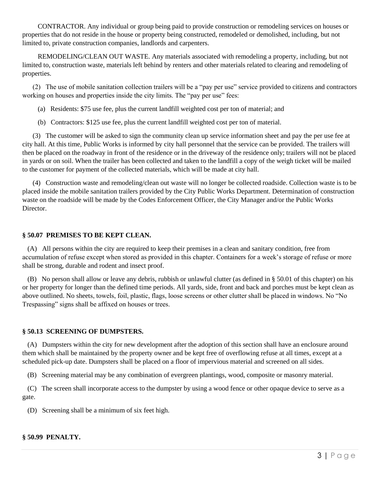CONTRACTOR. Any individual or group being paid to provide construction or remodeling services on houses or properties that do not reside in the house or property being constructed, remodeled or demolished, including, but not limited to, private construction companies, landlords and carpenters.

 REMODELING/CLEAN OUT WASTE. Any materials associated with remodeling a property, including, but not limited to, construction waste, materials left behind by renters and other materials related to clearing and remodeling of properties.

 (2) The use of mobile sanitation collection trailers will be a "pay per use" service provided to citizens and contractors working on houses and properties inside the city limits. The "pay per use" fees:

- (a) Residents: \$75 use fee, plus the current landfill weighted cost per ton of material; and
- (b) Contractors: \$125 use fee, plus the current landfill weighted cost per ton of material.

 (3) The customer will be asked to sign the community clean up service information sheet and pay the per use fee at city hall. At this time, Public Works is informed by city hall personnel that the service can be provided. The trailers will then be placed on the roadway in front of the residence or in the driveway of the residence only; trailers will not be placed in yards or on soil. When the trailer has been collected and taken to the landfill a copy of the weigh ticket will be mailed to the customer for payment of the collected materials, which will be made at city hall.

 (4) Construction waste and remodeling/clean out waste will no longer be collected roadside. Collection waste is to be placed inside the mobile sanitation trailers provided by the City Public Works Department. Determination of construction waste on the roadside will be made by the Codes Enforcement Officer, the City Manager and/or the Public Works Director.

# **§ 50.07 PREMISES TO BE KEPT CLEAN.**

 (A) All persons within the city are required to keep their premises in a clean and sanitary condition, free from accumulation of refuse except when stored as provided in this chapter. Containers for a week's storage of refuse or more shall be strong, durable and rodent and insect proof.

 (B) No person shall allow or leave any debris, rubbish or unlawful clutter (as defined in § 50.01 of this chapter) on his or her property for longer than the defined time periods. All yards, side, front and back and porches must be kept clean as above outlined. No sheets, towels, foil, plastic, flags, loose screens or other clutter shall be placed in windows. No "No Trespassing" signs shall be affixed on houses or trees.

# **§ 50.13 SCREENING OF DUMPSTERS.**

 (A) Dumpsters within the city for new development after the adoption of this section shall have an enclosure around them which shall be maintained by the property owner and be kept free of overflowing refuse at all times, except at a scheduled pick-up date. Dumpsters shall be placed on a floor of impervious material and screened on all sides.

(B) Screening material may be any combination of evergreen plantings, wood, composite or masonry material.

 (C) The screen shall incorporate access to the dumpster by using a wood fence or other opaque device to serve as a gate.

(D) Screening shall be a minimum of six feet high.

# **§ 50.99 PENALTY.**